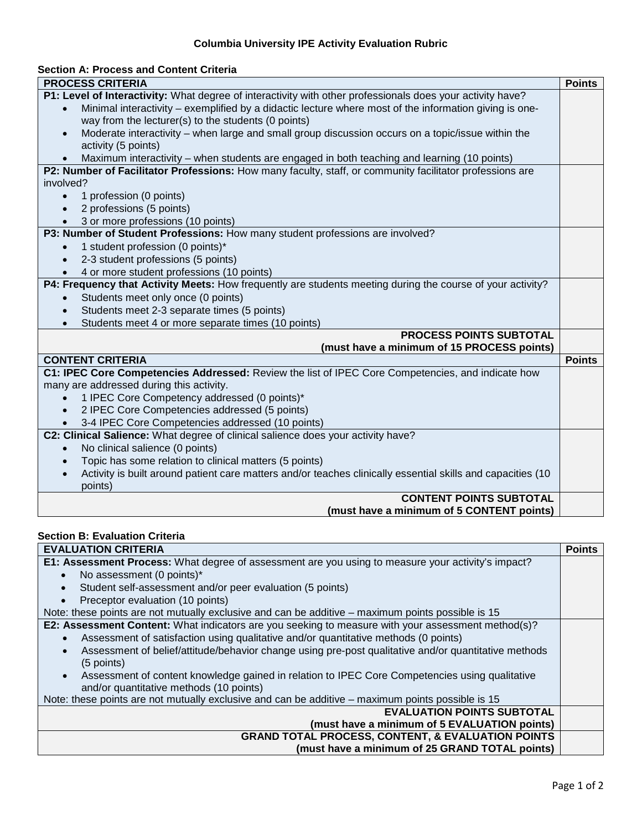## **Columbia University IPE Activity Evaluation Rubric**

### **Section A: Process and Content Criteria**

| <b>PROCESS CRITERIA</b>                                                                                     | <b>Points</b> |
|-------------------------------------------------------------------------------------------------------------|---------------|
| P1: Level of Interactivity: What degree of interactivity with other professionals does your activity have?  |               |
| Minimal interactivity – exemplified by a didactic lecture where most of the information giving is one-      |               |
| way from the lecturer(s) to the students (0 points)                                                         |               |
| Moderate interactivity - when large and small group discussion occurs on a topic/issue within the           |               |
| activity (5 points)                                                                                         |               |
| Maximum interactivity - when students are engaged in both teaching and learning (10 points)                 |               |
| P2: Number of Facilitator Professions: How many faculty, staff, or community facilitator professions are    |               |
| involved?                                                                                                   |               |
| 1 profession (0 points)                                                                                     |               |
| 2 professions (5 points)                                                                                    |               |
| 3 or more professions (10 points)                                                                           |               |
| P3: Number of Student Professions: How many student professions are involved?                               |               |
| 1 student profession (0 points)*<br>$\bullet$                                                               |               |
| 2-3 student professions (5 points)                                                                          |               |
| 4 or more student professions (10 points)                                                                   |               |
| P4: Frequency that Activity Meets: How frequently are students meeting during the course of your activity?  |               |
| Students meet only once (0 points)<br>$\bullet$                                                             |               |
| Students meet 2-3 separate times (5 points)                                                                 |               |
| Students meet 4 or more separate times (10 points)                                                          |               |
| <b>PROCESS POINTS SUBTOTAL</b>                                                                              |               |
| (must have a minimum of 15 PROCESS points)                                                                  |               |
| <b>CONTENT CRITERIA</b>                                                                                     | <b>Points</b> |
| C1: IPEC Core Competencies Addressed: Review the list of IPEC Core Competencies, and indicate how           |               |
| many are addressed during this activity.                                                                    |               |
| 1 IPEC Core Competency addressed (0 points)*                                                                |               |
| 2 IPEC Core Competencies addressed (5 points)                                                               |               |
| 3-4 IPEC Core Competencies addressed (10 points)                                                            |               |
| C2: Clinical Salience: What degree of clinical salience does your activity have?                            |               |
| No clinical salience (0 points)<br>$\bullet$                                                                |               |
| Topic has some relation to clinical matters (5 points)                                                      |               |
| Activity is built around patient care matters and/or teaches clinically essential skills and capacities (10 |               |
| points)                                                                                                     |               |
| <b>CONTENT POINTS SUBTOTAL</b>                                                                              |               |
| (must have a minimum of 5 CONTENT points)                                                                   |               |
| <b>Section B: Evaluation Criteria</b>                                                                       |               |
| <b>EVALUATION CRITERIA</b>                                                                                  | <b>Points</b> |
|                                                                                                             |               |

| EVALUATIUN UNITENIA                                                                                               | rums |
|-------------------------------------------------------------------------------------------------------------------|------|
| E1: Assessment Process: What degree of assessment are you using to measure your activity's impact?                |      |
| No assessment (0 points)*                                                                                         |      |
| Student self-assessment and/or peer evaluation (5 points)                                                         |      |
| Preceptor evaluation (10 points)                                                                                  |      |
| Note: these points are not mutually exclusive and can be additive - maximum points possible is 15                 |      |
| <b>E2: Assessment Content:</b> What indicators are you seeking to measure with your assessment method(s)?         |      |
| Assessment of satisfaction using qualitative and/or quantitative methods (0 points)                               |      |
| Assessment of belief/attitude/behavior change using pre-post qualitative and/or quantitative methods<br>$\bullet$ |      |
| $(5$ points)                                                                                                      |      |
| Assessment of content knowledge gained in relation to IPEC Core Competencies using qualitative<br>$\bullet$       |      |
| and/or quantitative methods (10 points)                                                                           |      |
| Note: these points are not mutually exclusive and can be additive - maximum points possible is 15                 |      |
| <b>EVALUATION POINTS SUBTOTAL</b>                                                                                 |      |
| (must have a minimum of 5 EVALUATION points)                                                                      |      |
| <b>GRAND TOTAL PROCESS, CONTENT, &amp; EVALUATION POINTS</b>                                                      |      |
| (must have a minimum of 25 GRAND TOTAL points)                                                                    |      |
|                                                                                                                   |      |